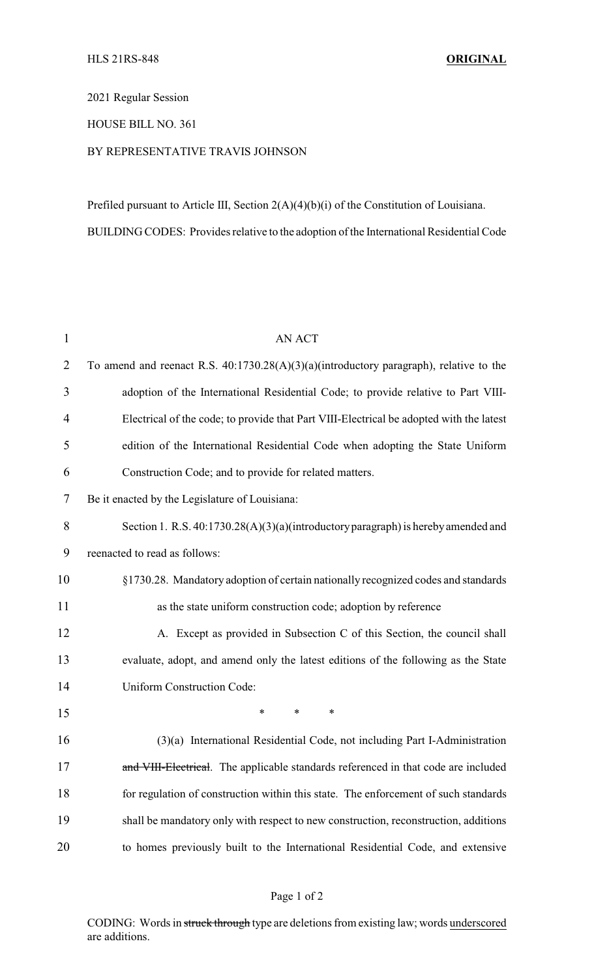2021 Regular Session

HOUSE BILL NO. 361

## BY REPRESENTATIVE TRAVIS JOHNSON

Prefiled pursuant to Article III, Section 2(A)(4)(b)(i) of the Constitution of Louisiana. BUILDING CODES: Provides relative to the adoption of the International Residential Code

| 1              | <b>AN ACT</b>                                                                           |
|----------------|-----------------------------------------------------------------------------------------|
| $\overline{2}$ | To amend and reenact R.S. 40:1730.28(A)(3)(a)(introductory paragraph), relative to the  |
| 3              | adoption of the International Residential Code; to provide relative to Part VIII-       |
| 4              | Electrical of the code; to provide that Part VIII-Electrical be adopted with the latest |
| 5              | edition of the International Residential Code when adopting the State Uniform           |
| 6              | Construction Code; and to provide for related matters.                                  |
| 7              | Be it enacted by the Legislature of Louisiana:                                          |
| 8              | Section 1. R.S. $40:1730.28(A)(3)(a)(introductory paragraph)$ is hereby amended and     |
| 9              | reenacted to read as follows:                                                           |
| 10             | §1730.28. Mandatory adoption of certain nationally recognized codes and standards       |
| 11             | as the state uniform construction code; adoption by reference                           |
| 12             | A. Except as provided in Subsection C of this Section, the council shall                |
| 13             | evaluate, adopt, and amend only the latest editions of the following as the State       |
| 14             | <b>Uniform Construction Code:</b>                                                       |
| 15             | *<br>$\ast$<br>*                                                                        |
| 16             | (3)(a) International Residential Code, not including Part I-Administration              |
| 17             | and VIII-Electrical. The applicable standards referenced in that code are included      |
| 18             | for regulation of construction within this state. The enforcement of such standards     |
| 19             | shall be mandatory only with respect to new construction, reconstruction, additions     |
| 20             | to homes previously built to the International Residential Code, and extensive          |

## Page 1 of 2

CODING: Words in struck through type are deletions from existing law; words underscored are additions.